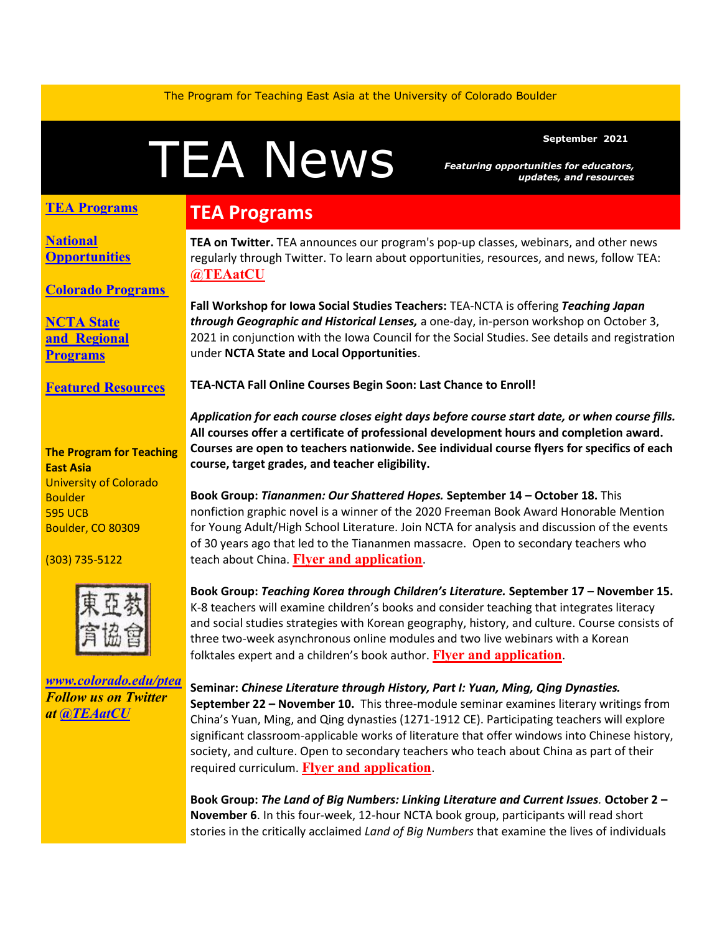The Program for Teaching East Asia at the University of Colorado Boulder

# Featuring opportunities for educators<br>updates, and resource

*Featuring opportunities for educators, updates, and resources*

### **TEA Programs**

**[National](#page-1-0)  [Opportunities](#page-1-0)**

**[Colorado Programs](#page-2-0)**

**[NCTA State](#page-2-1)  and [Regional](#page-2-1)  [Programs](#page-2-1)**

**[Featured Resources](#page-3-0)**

#### **The Program for Teaching East Asia** University of Colorado **Boulder** 595 UCB Boulder, CO 80309

(303) 735-5122



*[www.colorado.edu/ptea](https://colorado.us14.list-manage.com/track/click?u=a98f30f153ca1547742422446&id=9e4faf7c5c&e=9708c75edc) Follow us on Twitter at [@TEAatCU](https://colorado.us14.list-manage.com/track/click?u=a98f30f153ca1547742422446&id=e2d4f0977b&e=9708c75edc)*

# **TEA Programs**

**TEA on Twitter.** TEA announces our program's pop-up classes, webinars, and other news regularly through Twitter. To learn about opportunities, resources, and news, follow TEA: **[@TEAatCU](https://colorado.us14.list-manage.com/track/click?u=a98f30f153ca1547742422446&id=e1f33b867a&e=9708c75edc)**

**Fall Workshop for Iowa Social Studies Teachers:** TEA-NCTA is offering *Teaching Japan through Geographic and Historical Lenses,* a one-day, in-person workshop on October 3, 2021 in conjunction with the Iowa Council for the Social Studies. See details and registration under **NCTA State and Local Opportunities**.

**TEA-NCTA Fall Online Courses Begin Soon: Last Chance to Enroll!** 

*Application for each course closes eight days before course start date, or when course fills.* **All courses offer a certificate of professional development hours and completion award. Courses are open to teachers nationwide. See individual course flyers for specifics of each course, target grades, and teacher eligibility.**

**Book Group:** *Tiananmen: Our Shattered Hopes.* **September 14 – October 18.** This nonfiction graphic novel is a winner of the 2020 Freeman Book Award Honorable Mention for Young Adult/High School Literature. Join NCTA for analysis and discussion of the events of 30 years ago that led to the Tiananmen massacre. Open to secondary teachers who teach about China. **[Flyer and application](https://colorado.us14.list-manage.com/track/click?u=a98f30f153ca1547742422446&id=aff58bb5a2&e=9708c75edc)**.

**Book Group:** *Teaching Korea through Children's Literature.* **September 17 – November 15.**  K-8 teachers will examine children's books and consider teaching that integrates literacy and social studies strategies with Korean geography, history, and culture. Course consists of three two-week asynchronous online modules and two live webinars with a Korean folktales expert and a children's book author. **[Flyer and application](https://colorado.us14.list-manage.com/track/click?u=a98f30f153ca1547742422446&id=6111c35ea7&e=9708c75edc)**.

**Seminar:** *Chinese Literature through History, Part I: Yuan, Ming, Qing Dynasties.*  **September 22 – November 10.** This three-module seminar examines literary writings from China's Yuan, Ming, and Qing dynasties (1271-1912 CE). Participating teachers will explore significant classroom-applicable works of literature that offer windows into Chinese history, society, and culture. Open to secondary teachers who teach about China as part of their required curriculum. **[Flyer and application](https://colorado.us14.list-manage.com/track/click?u=a98f30f153ca1547742422446&id=217c0ce8b2&e=9708c75edc)**.

**Book Group:** *The Land of Big Numbers: Linking Literature and Current Issues.* **October 2 – November 6**. In this four-week, 12-hour NCTA book group, participants will read short stories in the critically acclaimed *Land of Big Numbers* that examine the lives of individuals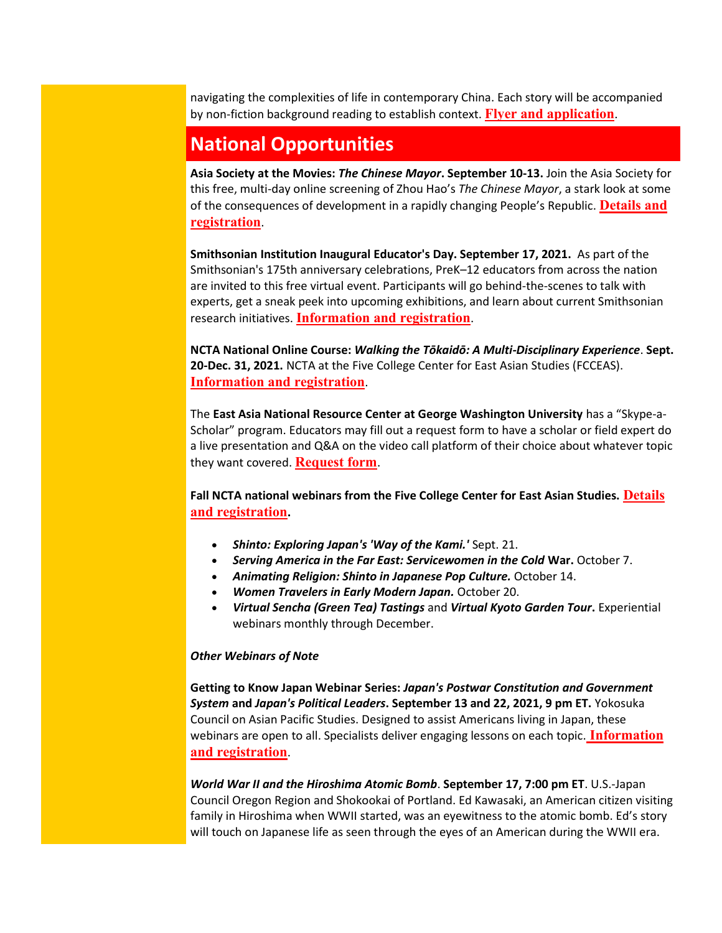navigating the complexities of life in contemporary China. Each story will be accompanied by non-fiction background reading to establish context. **[Flyer and application](https://colorado.us14.list-manage.com/track/click?u=a98f30f153ca1547742422446&id=ca51535486&e=9708c75edc)**.

## <span id="page-1-0"></span>**National Opportunities**

**Asia Society at the Movies:** *The Chinese Mayor***. September 10-13.** Join the Asia Society for this free, multi-day online screening of Zhou Hao's *The Chinese Mayor*, a stark look at some of the consequences of development in a rapidly changing People's Republic. **[Details and](https://colorado.us14.list-manage.com/track/click?u=a98f30f153ca1547742422446&id=f83f7ed541&e=9708c75edc)  [registration](https://colorado.us14.list-manage.com/track/click?u=a98f30f153ca1547742422446&id=f83f7ed541&e=9708c75edc)**.

**Smithsonian Institution Inaugural Educator's Day. September 17, 2021.** As part of the Smithsonian's 175th anniversary celebrations, PreK–12 educators from across the nation are invited to this free virtual event. Participants will go behind-the-scenes to talk with experts, get a sneak peek into upcoming exhibitions, and learn about current Smithsonian research initiatives. **[Information and](https://colorado.us14.list-manage.com/track/click?u=a98f30f153ca1547742422446&id=ee5b450144&e=9708c75edc) registration**.

**NCTA National Online Course:** *Walking the Tōkaidō: A Multi-Disciplinary Experience*. **Sept. 20-Dec. 31, 2021.** NCTA at the Five College Center for East Asian Studies (FCCEAS). **[Information and registration](https://colorado.us14.list-manage.com/track/click?u=a98f30f153ca1547742422446&id=5f46d14d9e&e=9708c75edc)**.

The **East Asia National Resource Center at George Washington University** has a "Skype-a-Scholar" program. Educators may fill out a request form to have a scholar or field expert do a live presentation and Q&A on the video call platform of their choice about whatever topic they want covered. **[Request form](https://colorado.us14.list-manage.com/track/click?u=a98f30f153ca1547742422446&id=1cf10edb0f&e=9708c75edc)**.

Fall NCTA national webinars from the Five College Center for East Asian Studies. **Details [and registration](https://colorado.us14.list-manage.com/track/click?u=a98f30f153ca1547742422446&id=405cfa202e&e=9708c75edc).** 

- *Shinto: Exploring Japan's 'Way of the Kami.'* Sept. 21.
- *Serving America in the Far East: Servicewomen in the Cold* **War.** October 7.
- *Animating Religion: Shinto in Japanese Pop Culture.* October 14.
- *Women Travelers in Early Modern Japan.* October 20.
- *Virtual Sencha (Green Tea) Tastings* and *Virtual Kyoto Garden Tour***.** Experiential webinars monthly through December.

#### *Other Webinars of Note*

**Getting to Know Japan Webinar Series:** *Japan's Postwar Constitution and Government System* **and** *Japan's Political Leaders***. September 13 and 22, 2021, 9 pm ET.** Yokosuka Council on Asian Pacific Studies. Designed to assist Americans living in Japan, these webinars are open to all. Specialists deliver engaging lessons on each topic. **[Information](https://colorado.us14.list-manage.com/track/click?u=a98f30f153ca1547742422446&id=5730073870&e=9708c75edc)  [and registration](https://colorado.us14.list-manage.com/track/click?u=a98f30f153ca1547742422446&id=5730073870&e=9708c75edc)**.

*World War II and the Hiroshima Atomic Bomb*. **September 17, 7:00 pm ET**. U.S.-Japan Council Oregon Region and Shokookai of Portland. Ed Kawasaki, an American citizen visiting family in Hiroshima when WWII started, was an eyewitness to the atomic bomb. Ed's story will touch on Japanese life as seen through the eyes of an American during the WWII era.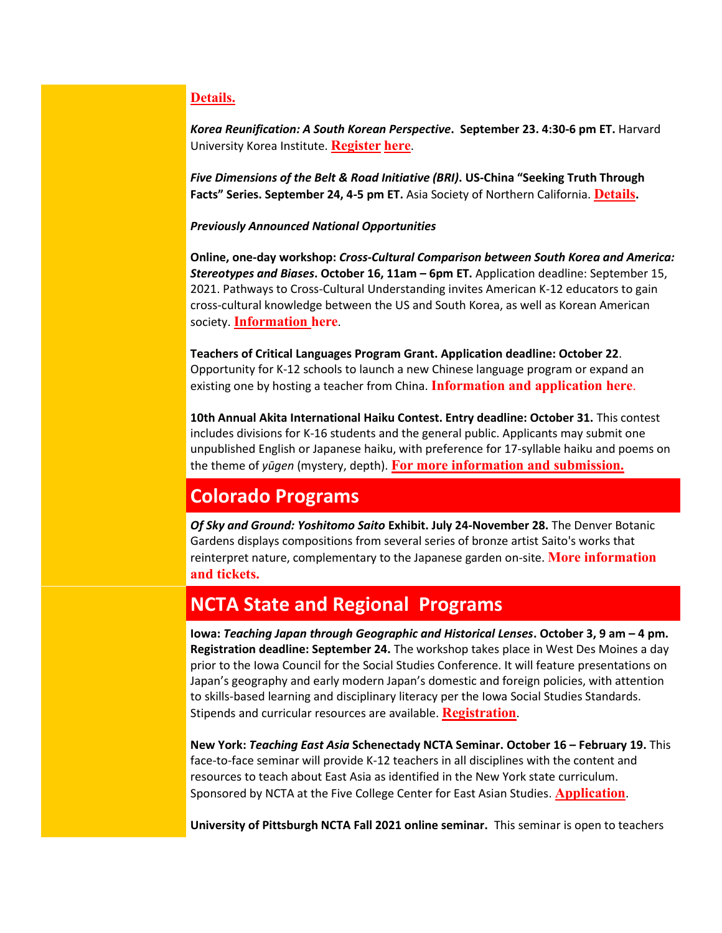## **[Details.](https://colorado.us14.list-manage.com/track/click?u=a98f30f153ca1547742422446&id=d8ef433006&e=9708c75edc)**

*Korea Reunification: A South Korean Perspective***. September 23. 4:30-6 pm ET.** Harvard University Korea Institute. **[Register](https://colorado.us14.list-manage.com/track/click?u=a98f30f153ca1547742422446&id=d684979e10&e=9708c75edc) [here](https://colorado.us14.list-manage.com/track/click?u=a98f30f153ca1547742422446&id=219b81bcb0&e=9708c75edc)**.

*Five Dimensions of the Belt & Road Initiative (BRI)***. US-China "Seeking Truth Through Facts" Series. September 24, 4-5 pm ET.** Asia Society of Northern California. **[Details](https://colorado.us14.list-manage.com/track/click?u=a98f30f153ca1547742422446&id=6d03318bd1&e=9708c75edc).**

*Previously Announced National Opportunities*

**Online, one-day workshop:** *Cross-Cultural Comparison between South Korea and America: Stereotypes and Biases***. October 16, 11am – 6pm ET.** Application deadline: September 15, 2021. Pathways to Cross-Cultural Understanding invites American K-12 educators to gain cross-cultural knowledge between the US and South Korea, as well as Korean American society. **[Information here](https://colorado.us14.list-manage.com/track/click?u=a98f30f153ca1547742422446&id=4e372aee18&e=9708c75edc)**.

**Teachers of Critical Languages Program Grant. Application deadline: October 22**. Opportunity for K-12 schools to launch a new Chinese language program or expand an existing one by hosting a teacher from China. **[Information and application here](https://colorado.us14.list-manage.com/track/click?u=a98f30f153ca1547742422446&id=78f44f3a51&e=9708c75edc)**.

**10th Annual Akita International Haiku Contest. Entry deadline: October 31.** This contest includes divisions for K-16 students and the general public. Applicants may submit one unpublished English or Japanese haiku, with preference for 17-syllable haiku and poems on the theme of *yūgen* (mystery, depth). **[For more information and submission.](https://colorado.us14.list-manage.com/track/click?u=a98f30f153ca1547742422446&id=8025fd4dc5&e=9708c75edc)**

## <span id="page-2-0"></span>**Colorado Programs**

*Of Sky and Ground: Yoshitomo Saito* **Exhibit. July 24-November 28.** The Denver Botanic Gardens displays compositions from several series of bronze artist Saito's works that reinterpret nature, complementary to the Japanese garden on-site. **[More information](https://colorado.us14.list-manage.com/track/click?u=a98f30f153ca1547742422446&id=e164f8f7a3&e=9708c75edc)  [and tickets.](https://colorado.us14.list-manage.com/track/click?u=a98f30f153ca1547742422446&id=e164f8f7a3&e=9708c75edc)**

## <span id="page-2-1"></span>**NCTA State and Regional Programs**

**Iowa:** *Teaching Japan through Geographic and Historical Lenses***. October 3, 9 am – 4 pm. Registration deadline: September 24.** The workshop takes place in West Des Moines a day prior to the Iowa Council for the Social Studies Conference. It will feature presentations on Japan's geography and early modern Japan's domestic and foreign policies, with attention to skills-based learning and disciplinary literacy per the Iowa Social Studies Standards. Stipends and curricular resources are available. **[Registration](https://colorado.us14.list-manage.com/track/click?u=a98f30f153ca1547742422446&id=bdef6ae9c9&e=9708c75edc)**.

**New York:** *Teaching East Asia* **Schenectady NCTA Seminar. October 16 – February 19.** This face-to-face seminar will provide K-12 teachers in all disciplines with the content and resources to teach about East Asia as identified in the New York state curriculum. Sponsored by NCTA at the Five College Center for East Asian Studies. **[Application](https://colorado.us14.list-manage.com/track/click?u=a98f30f153ca1547742422446&id=71dbbfb966&e=9708c75edc)**.

**University of Pittsburgh NCTA Fall 2021 online seminar.** This seminar is open to teachers